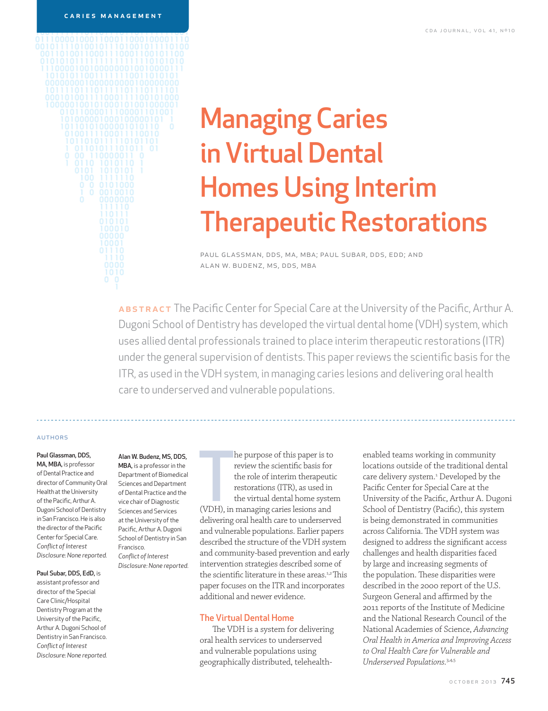# Managing Caries in Virtual Dental Homes Using Interim Therapeutic Restorations

paul glassman, dds, ma, mba; paul subar, dds, edd; and alan w. budenz, ms, dds, mba

ABSTRACT The Pacific Center for Special Care at the University of the Pacific, Arthur A. Dugoni School of Dentistry has developed the virtual dental home (VDH) system, which uses allied dental professionals trained to place interim therapeutic restorations (ITR) under the general supervision of dentists. This paper reviews the scientific basis for the ITR, as used in the VDH system, in managing caries lesions and delivering oral health care to underserved and vulnerable populations.

#### **AUTHORS**

#### Paul Glassman, DDS, MA, MBA, is professor

of Dental Practice and director of Community Oral Health at the University of the Pacific, Arthur A. Dugoni School of Dentistry in San Francisco. He is also the director of the Pacific Center for Special Care. *Confl ict of Interest Disclosure: None reported.*

#### Paul Subar, DDS, EdD, is

assistant professor and director of the Special Care Clinic/Hospital Dentistry Program at the University of the Pacific, Arthur A. Dugoni School of Dentistry in San Francisco. *Confl ict of Interest Disclosure: None reported.*

#### Alan W. Budenz, MS, DDS, MBA, is a professor in the

Department of Biomedical Sciences and Department of Dental Practice and the vice chair of Diagnostic Sciences and Services at the University of the Pacific, Arthur A. Dugoni School of Dentistry in San Francisco. *Confl ict of Interest Disclosure: None reported.* The purpose of this paper is to<br>review the scientific basis for<br>the role of interim therapeuti<br>restorations (ITR), as used in<br>the virtual dental home syste<br>(VDH), in managing caries lesions and he purpose of this paper is to review the scientific basis for the role of interim therapeutic restorations (ITR), as used in the virtual dental home system delivering oral health care to underserved and vulnerable populations. Earlier papers described the structure of the VDH system and community-based prevention and early intervention strategies described some of the scientific literature in these areas.<sup>1,2</sup>This paper focuses on the ITR and incorporates additional and newer evidence.

# The Virtual Dental Home

The VDH is a system for delivering oral health services to underserved and vulnerable populations using geographically distributed, telehealthenabled teams working in community locations outside of the traditional dental care delivery system.<sup>1</sup> Developed by the Pacific Center for Special Care at the University of the Pacific, Arthur A. Dugoni School of Dentistry (Pacific), this system is being demonstrated in communities across California. The VDH system was designed to address the significant access challenges and health disparities faced by large and increasing segments of the population. These disparities were described in the 2000 report of the U.S. Surgeon General and affirmed by the 2011 reports of the Institute of Medicine and the National Research Council of the National Academies of Science, *Advancing Oral Health in America and Improving Access to Oral Health Care for Vulnerable and Underserved Populations.*3,4,5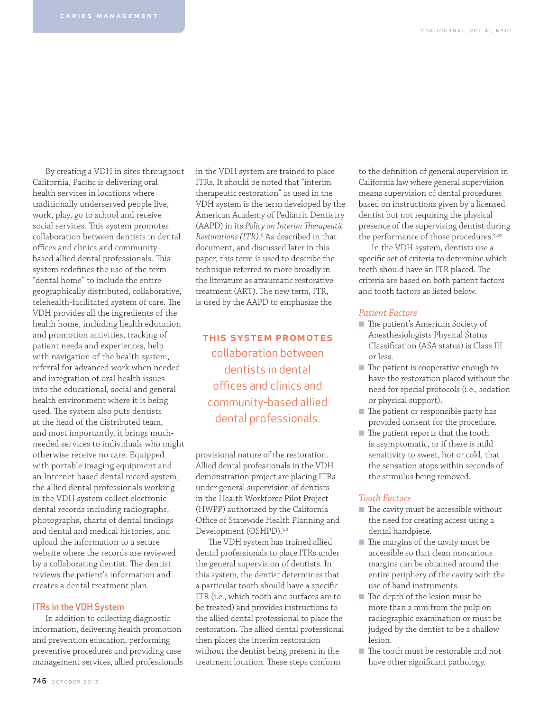By creating a VDH in sites throughout California, Pacific is delivering oral health services in locations where traditionally underserved people live, work, play, go to school and receive social services. This system promotes collaboration between dentists in dental offices and clinics and communitybased allied dental professionals. This system redefines the use of the term "dental home" to include the entire geographically distributed, collaborative, telehealth-facilitated system of care. The VDH provides all the ingredients of the health home, including health education and promotion activities, tracking of patient needs and experiences, help with navigation of the health system, referral for advanced work when needed and integration of oral health issues into the educational, social and general health environment where it is being used. The system also puts dentists at the head of the distributed team, and most importantly, it brings muchneeded services to individuals who might otherwise receive no care. Equipped with portable imaging equipment and an Internet-based dental record system, the allied dental professionals working in the VDH system collect electronic dental records including radiographs, photographs, charts of dental findings and dental and medical histories, and upload the information to a secure website where the records are reviewed by a collaborating dentist. The dentist reviews the patient's information and creates a dental treatment plan.

# ITRs in the VDH System

In addition to collecting diagnostic information, delivering health promotion and prevention education, performing preventive procedures and providing case management services, allied professionals in the VDH system are trained to place ITRs. It should be noted that "interim therapeutic restoration" as used in the VDH system is the term developed by the American Academy of Pediatric Dentistry (AAPD) in its *Policy on Interim Therapeutic* Restorations (ITR).<sup>6</sup> As described in that document, and discussed later in this paper, this term is used to describe the technique referred to more broadly in the literature as atraumatic restorative treatment (ART). The new term, ITR, is used by the AAPD to emphasize the

# this system promotes collaboration between dentists in dental offices and clinics and community-based allied dental professionals.

provisional nature of the restoration. Allied dental professionals in the VDH demonstration project are placing ITRs under general supervision of dentists in the Health Workforce Pilot Project (HWPP) authorized by the California Office of Statewide Health Planning and Development (OSHPD).<sup>7,8</sup>

The VDH system has trained allied dental professionals to place ITRs under the general supervision of dentists. In this system, the dentist determines that a particular tooth should have a specific ITR (i.e., which tooth and surfaces are to be treated) and provides instructions to the allied dental professional to place the restoration. The allied dental professional then places the interim restoration without the dentist being present in the treatment location. These steps conform

to the definition of general supervision in California law where general supervision means supervision of dental procedures based on instructions given by a licensed dentist but not requiring the physical presence of the supervising dentist during the performance of those procedures.<sup>9,10</sup>

In the VDH system, dentists use a specific set of criteria to determine which teeth should have an ITR placed. The criteria are based on both patient factors and tooth factors as listed below.

# *Patient Factors*

- The patient's American Society of Anesthesiologists Physical Status Classification (ASA status) is Class III or less.
- $\blacksquare$  The patient is cooperative enough to have the restoration placed without the need for special protocols (i.e., sedation or physical support).
- $\blacksquare$  The patient or responsible party has provided consent for the procedure.
- $\blacksquare$  The patient reports that the tooth is asymptomatic, or if there is mild sensitivity to sweet, hot or cold, that the sensation stops within seconds of the stimulus being removed.

# *Tooth Factors*

- $\blacksquare$  The cavity must be accessible without the need for creating access using a dental handpiece.
- $\blacksquare$  The margins of the cavity must be accessible so that clean noncarious margins can be obtained around the entire periphery of the cavity with the use of hand instruments.
- $\blacksquare$  The depth of the lesion must be more than 2 mm from the pulp on radiographic examination or must be judged by the dentist to be a shallow lesion.
- The tooth must be restorable and not have other significant pathology.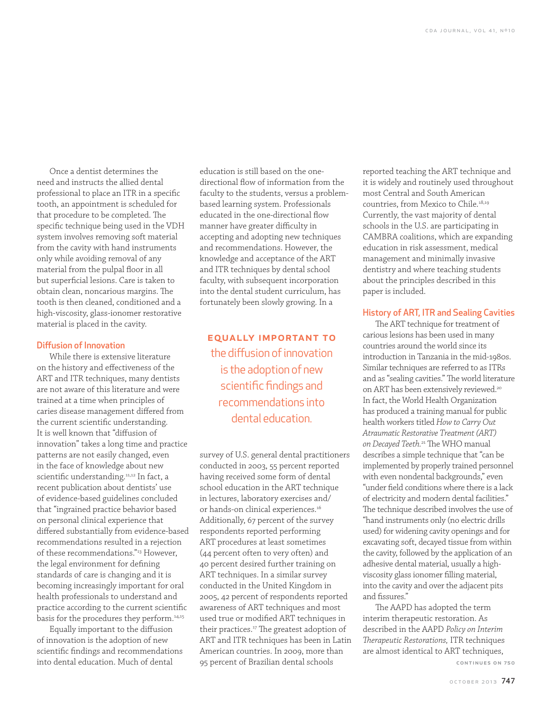Once a dentist determines the need and instructs the allied dental professional to place an ITR in a specific tooth, an appointment is scheduled for that procedure to be completed. The specific technique being used in the VDH system involves removing soft material from the cavity with hand instruments only while avoiding removal of any material from the pulpal floor in all but superficial lesions. Care is taken to obtain clean, noncarious margins. The tooth is then cleaned, conditioned and a high-viscosity, glass-ionomer restorative material is placed in the cavity.

# Diffusion of Innovation

While there is extensive literature on the history and effectiveness of the ART and ITR techniques, many dentists are not aware of this literature and were trained at a time when principles of caries disease management differed from the current scientific understanding. It is well known that "diffusion of innovation" takes a long time and practice patterns are not easily changed, even in the face of knowledge about new scientific understanding.<sup>11,12</sup> In fact, a recent publication about dentists' use of evidence-based guidelines concluded that "ingrained practice behavior based on personal clinical experience that differed substantially from evidence-based recommendations resulted in a rejection of these recommendations."13 However, the legal environment for defining standards of care is changing and it is becoming increasingly important for oral health professionals to understand and practice according to the current scientific basis for the procedures they perform.<sup>14,15</sup>

Equally important to the diffusion of innovation is the adoption of new scientific findings and recommendations into dental education. Much of dental

education is still based on the onedirectional flow of information from the faculty to the students, versus a problembased learning system. Professionals educated in the one-directional flow manner have greater difficulty in accepting and adopting new techniques and recommendations. However, the knowledge and acceptance of the ART and ITR techniques by dental school faculty, with subsequent incorporation into the dental student curriculum, has fortunately been slowly growing. In a

equally important to the diffusion of innovation is the adoption of new scientific findings and recommendations into dental education.

survey of U.S. general dental practitioners conducted in 2003, 55 percent reported having received some form of dental school education in the ART technique in lectures, laboratory exercises and/ or hands-on clinical experiences.<sup>16</sup> Additionally, 67 percent of the survey respondents reported performing ART procedures at least sometimes (44 percent often to very often) and 40 percent desired further training on ART techniques. In a similar survey conducted in the United Kingdom in 2005, 42 percent of respondents reported awareness of ART techniques and most used true or modified ART techniques in their practices.<sup>17</sup> The greatest adoption of ART and ITR techniques has been in Latin American countries. In 2009, more than 95 percent of Brazilian dental schools continues on 750

reported teaching the ART technique and it is widely and routinely used throughout most Central and South American countries, from Mexico to Chile.<sup>18,19</sup> Currently, the vast majority of dental schools in the U.S. are participating in CAMBRA coalitions, which are expanding education in risk assessment, medical management and minimally invasive dentistry and where teaching students about the principles described in this paper is included.

# History of ART, ITR and Sealing Cavities

The ART technique for treatment of carious lesions has been used in many countries around the world since its introduction in Tanzania in the mid-1980s. Similar techniques are referred to as ITRs and as "sealing cavities." The world literature on ART has been extensively reviewed.<sup>20</sup> In fact, the World Health Organization has produced a training manual for public health workers titled *How to Carry Out Atraumatic Restorative Treatment (ART) on Decayed Teeth.*<sup>21</sup> The WHO manual describes a simple technique that "can be implemented by properly trained personnel with even nondental backgrounds," even "under field conditions where there is a lack of electricity and modern dental facilities." The technique described involves the use of "hand instruments only (no electric drills used) for widening cavity openings and for excavating soft, decayed tissue from within the cavity, followed by the application of an adhesive dental material, usually a highviscosity glass ionomer filling material, into the cavity and over the adjacent pits and fissures."

The AAPD has adopted the term interim therapeutic restoration. As described in the AAPD *Policy on Interim Th erapeutic Restorations,* ITR techniques are almost identical to ART techniques,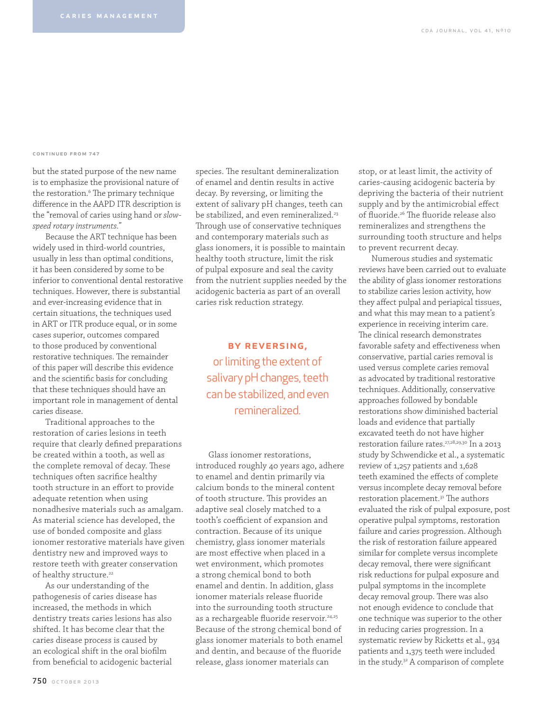#### continued from 747

but the stated purpose of the new name is to emphasize the provisional nature of the restoration.<sup>6</sup> The primary technique difference in the AAPD ITR description is the "removal of caries using hand or *slowspeed rotary instruments."*

Because the ART technique has been widely used in third-world countries, usually in less than optimal conditions, it has been considered by some to be inferior to conventional dental restorative techniques. However, there is substantial and ever-increasing evidence that in certain situations, the techniques used in ART or ITR produce equal, or in some cases superior, outcomes compared to those produced by conventional restorative techniques. The remainder of this paper will describe this evidence and the scientific basis for concluding that these techniques should have an important role in management of dental caries disease.

Traditional approaches to the restoration of caries lesions in teeth require that clearly defined preparations be created within a tooth, as well as the complete removal of decay. These techniques often sacrifice healthy tooth structure in an effort to provide adequate retention when using nonadhesive materials such as amalgam. As material science has developed, the use of bonded composite and glass ionomer restorative materials have given dentistry new and improved ways to restore teeth with greater conservation of healthy structure.<sup>22</sup>

As our understanding of the pathogenesis of caries disease has increased, the methods in which dentistry treats caries lesions has also shifted. It has become clear that the caries disease process is caused by an ecological shift in the oral biofilm from beneficial to acidogenic bacterial

species. The resultant demineralization of enamel and dentin results in active decay. By reversing, or limiting the extent of salivary pH changes, teeth can be stabilized, and even remineralized.<sup>23</sup> Through use of conservative techniques and contemporary materials such as glass ionomers, it is possible to maintain healthy tooth structure, limit the risk of pulpal exposure and seal the cavity from the nutrient supplies needed by the acidogenic bacteria as part of an overall caries risk reduction strategy.

by reversing, or limiting the extent of salivary pH changes, teeth can be stabilized, and even remineralized.

Glass ionomer restorations, introduced roughly 40 years ago, adhere to enamel and dentin primarily via calcium bonds to the mineral content of tooth structure. This provides an adaptive seal closely matched to a tooth's coefficient of expansion and contraction. Because of its unique chemistry, glass ionomer materials are most effective when placed in a wet environment, which promotes a strong chemical bond to both enamel and dentin. In addition, glass ionomer materials release fluoride into the surrounding tooth structure as a rechargeable fluoride reservoir.<sup>24,25</sup> Because of the strong chemical bond of glass ionomer materials to both enamel and dentin, and because of the fluoride release, glass ionomer materials can

stop, or at least limit, the activity of caries-causing acidogenic bacteria by depriving the bacteria of their nutrient supply and by the antimicrobial effect of fluoride.<sup>26</sup> The fluoride release also remineralizes and strengthens the surrounding tooth structure and helps to prevent recurrent decay.

Numerous studies and systematic reviews have been carried out to evaluate the ability of glass ionomer restorations to stabilize caries lesion activity, how they affect pulpal and periapical tissues, and what this may mean to a patient's experience in receiving interim care. The clinical research demonstrates favorable safety and effectiveness when conservative, partial caries removal is used versus complete caries removal as advocated by traditional restorative techniques. Additionally, conservative approaches followed by bondable restorations show diminished bacterial loads and evidence that partially excavated teeth do not have higher restoration failure rates.27,28,29,30 In a 2013 study by Schwendicke et al., a systematic review of 1,257 patients and 1,628 teeth examined the effects of complete versus incomplete decay removal before restoration placement.<sup>31</sup> The authors evaluated the risk of pulpal exposure, post operative pulpal symptoms, restoration failure and caries progression. Although the risk of restoration failure appeared similar for complete versus incomplete decay removal, there were significant risk reductions for pulpal exposure and pulpal symptoms in the incomplete decay removal group. There was also not enough evidence to conclude that one technique was superior to the other in reducing caries progression. In a systematic review by Ricketts et al., 934 patients and 1,375 teeth were included in the study.32 A comparison of complete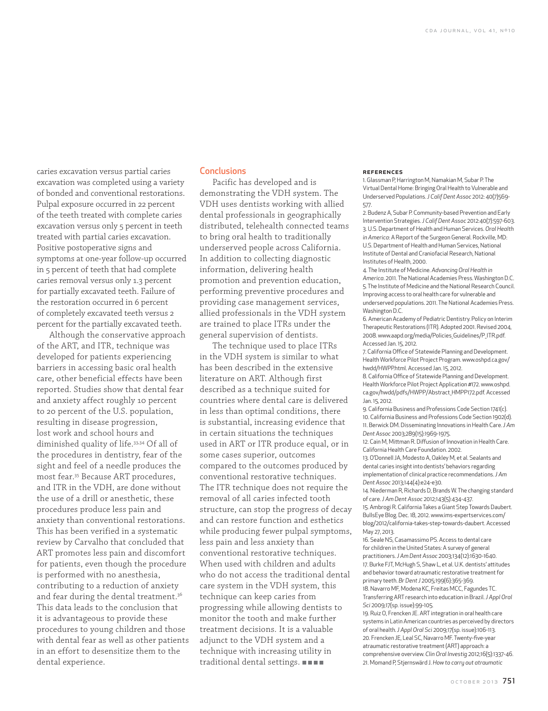caries excavation versus partial caries excavation was completed using a variety of bonded and conventional restorations. Pulpal exposure occurred in 22 percent of the teeth treated with complete caries excavation versus only 5 percent in teeth treated with partial caries excavation. Positive postoperative signs and symptoms at one-year follow-up occurred in 5 percent of teeth that had complete caries removal versus only 1.3 percent for partially excavated teeth. Failure of the restoration occurred in 6 percent of completely excavated teeth versus 2 percent for the partially excavated teeth.

Although the conservative approach of the ART, and ITR, technique was developed for patients experiencing barriers in accessing basic oral health care, other beneficial effects have been reported. Studies show that dental fear and anxiety affect roughly 10 percent to 20 percent of the U.S. population, resulting in disease progression, lost work and school hours and diminished quality of life.33,34 Of all of the procedures in dentistry, fear of the sight and feel of a needle produces the most fear.35 Because ART procedures, and ITR in the VDH, are done without the use of a drill or anesthetic, these procedures produce less pain and anxiety than conventional restorations. This has been verified in a systematic review by Carvalho that concluded that ART promotes less pain and discomfort for patients, even though the procedure is performed with no anesthesia, contributing to a reduction of anxiety and fear during the dental treatment.36 This data leads to the conclusion that it is advantageous to provide these procedures to young children and those with dental fear as well as other patients in an effort to desensitize them to the dental experience.

# **Conclusions**

Pacific has developed and is demonstrating the VDH system. The VDH uses dentists working with allied dental professionals in geographically distributed, telehealth connected teams to bring oral health to traditionally underserved people across California. In addition to collecting diagnostic information, delivering health promotion and prevention education, performing preventive procedures and providing case management services, allied professionals in the VDH system are trained to place ITRs under the general supervision of dentists.

The technique used to place ITRs in the VDH system is similar to what has been described in the extensive literature on ART. Although first described as a technique suited for countries where dental care is delivered in less than optimal conditions, there is substantial, increasing evidence that in certain situations the techniques used in ART or ITR produce equal, or in some cases superior, outcomes compared to the outcomes produced by conventional restorative techniques. The ITR technique does not require the removal of all caries infected tooth structure, can stop the progress of decay and can restore function and esthetics while producing fewer pulpal symptoms, less pain and less anxiety than conventional restorative techniques. When used with children and adults who do not access the traditional dental care system in the VDH system, this technique can keep caries from progressing while allowing dentists to monitor the tooth and make further treatment decisions. It is a valuable adjunct to the VDH system and a technique with increasing utility in traditional dental settings.

#### **REFERENCES**

1. Glassman P, Harrington M, Namakian M, Subar P. The Virtual Dental Home: Bringing Oral Health to Vulnerable and Underserved Populations. *J Calif Dent Assoc* 2012: 40(7)569- 577.

2. Budenz A, Subar P. Community-based Prevention and Early Intervention Strategies. *J Calif Dent Assoc* 2012:40(7):597-603. 3. U.S. Department of Health and Human Services. *Oral Health in America*: A Report of the Surgeon General. Rockville, MD: U.S. Department of Health and Human Services, National Institute of Dental and Craniofacial Research, National Institutes of Health, 2000.

4. The Institute of Medicine. *Advancing Oral Health in America*. 2011. The National Academies Press. Washington D.C. 5. The Institute of Medicine and the National Research Council. Improving access to oral health care for vulnerable and underserved populations. 2011. The National Academies Press. Washington D.C.

6. American Academy of Pediatric Dentistry. Policy on Interim Therapeutic Restorations (ITR). Adopted 2001. Revised 2004, 2008. www.aapd.org/media/Policies\_Guidelines/P\_ITR.pdf. Accessed Jan. 15, 2012.

7. California Office of Statewide Planning and Development. Health Workforce Pilot Project Program. www.oshpd.ca.gov/ hwdd/HWPP.html. Accessed Jan. 15, 2012.

8. California Office of Statewide Planning and Development. Health Workforce Pilot Project Application #172. www.oshpd. ca.gov/hwdd/pdfs/HWPP/Abstract\_HMPP172.pdf. Accessed Jan. 15, 2012.

9. California Business and Professions Code Section 1741(c). 10. California Business and Professions Code Section 1902(d). 11. Berwick DM. Disseminating Innovations in Health Care. *J Am Dent Assoc* 2003;289(15):1969-1975.

12. Cain M, Mittman R, Diffusion of Innovation in Health Care. California Health Care Foundation. 2002.

13. O'Donnell JA, Modesto A, Oakley M, et al. Sealants and dental caries insight into dentists' behaviors regarding implementation of clinical practice recommendations. *J Am Dent Assoc* 2013;144(4):e24-e30.

14. Niederman R, Richards D, Brands W. The changing standard of care. *J Am Dent Assoc* 2012;143(5):434-437. 15. Ambrogi R. California Takes a Giant Step Towards Daubert. BullsEye Blog. Dec. 18, 2012. www.ims-expertservices.com/ blog/2012/california-takes-step-towards-daubert. Accessed May 27, 2013.

16. Seale NS, Casamassimo PS. Access to dental care for children in the United States: A survey of general practitioners. *J Am Dent Assoc* 2003;134(12):1630-1640. 17. Burke FJT, McHugh S, Shaw L, et al. U.K. dentists' attitudes and behavior toward atraumatic restorative treatment for primary teeth. *Br Dent J* 2005;199(6):365-369. 18. Navarro MF, Modena KC, Freitas MCC, Fagundes TC. Transferring ART research into education in Brazil. *J Appl Oral* 

*Sci* 2009;17(sp. issue):99-105. 19. Ruiz O, Frencken JE. ART integration in oral health care systems in Latin American countries as perceived by directors of oral health. *J Appl Oral Sci* 2009;17(sp. issue):106-113. 20. Frencken JE, Leal SC, Navarro MF. Twenty-five-year atraumatic restorative treatment (ART) approach: a comprehensive overview. *Clin Oral Investig* 2012;16(5):1337-46. 21. Momand P, Stjernswärd J. *How to carry out atraumatic*